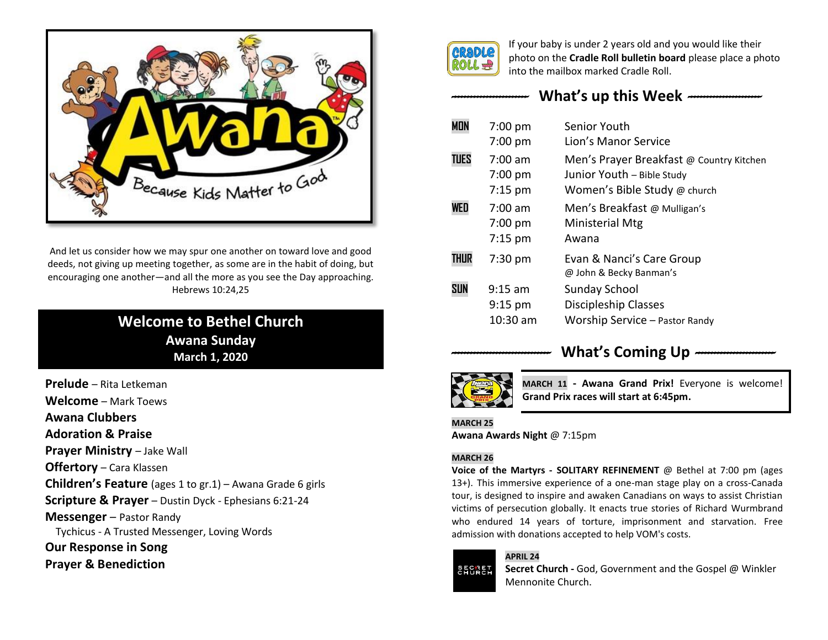

And let us consider how we may spur one another on toward love and good deeds, not giving up meeting together, as some are in the habit of doing, but encouraging one another—and all the more as you see the Day approaching. Hebrews 10:24,25

# **Welcome to Bethel Church Awana Sunday March 1, 2020**

**Prelude** – Rita Letkeman **Welcome** – Mark Toews **Awana Clubbers Adoration & Praise Prayer Ministry - Jake Wall Offertory** – Cara Klassen **Children's Feature** (ages 1 to gr.1) – Awana Grade 6 girls **Scripture & Prayer** – Dustin Dyck - Ephesians 6:21-24 **Messenger** – Pastor Randy Tychicus - A Trusted Messenger, Loving Words **Our Response in Song Prayer & Benediction**



If your baby is under 2 years old and you would like their photo on the **Cradle Roll bulletin board** please place a photo into the mailbox marked Cradle Roll.

# *------------------------* **What's up this Week** *-----------------------*

| <b>MON</b>  | $7:00$ pm         | Senior Youth                                         |
|-------------|-------------------|------------------------------------------------------|
|             | $7:00$ pm         | Lion's Manor Service                                 |
| <b>TUES</b> | $7:00 \text{ am}$ | Men's Prayer Breakfast @ Country Kitchen             |
|             | $7:00$ pm         | Junior Youth - Bible Study                           |
|             | $7:15 \text{ pm}$ | Women's Bible Study @ church                         |
| WED         | $7:00$ am         | Men's Breakfast @ Mulligan's                         |
|             | 7:00 pm           | Ministerial Mtg                                      |
|             | $7:15 \text{ pm}$ | Awana                                                |
| <b>THUR</b> | $7:30$ pm         | Evan & Nanci's Care Group<br>@ John & Becky Banman's |
| <b>SUN</b>  | $9:15$ am         | <b>Sunday School</b>                                 |
|             | $9:15$ pm         | Discipleship Classes                                 |
|             | 10:30 am          | Worship Service - Pastor Randy                       |

# What's Coming Up  $-$



**MARCH 11 - Awana Grand Prix!** Everyone is welcome! **Grand Prix races will start at 6:45pm.**

#### **MARCH 25 Awana Awards Night** @ 7:15pm

## **MARCH 26**

**Voice of the Martyrs - SOLITARY REFINEMENT** @ Bethel at 7:00 pm (ages 13+). This immersive experience of a one-man stage play on a cross-Canada tour, is designed to inspire and awaken Canadians on ways to assist Christian victims of persecution globally. It enacts true stories of Richard Wurmbrand who endured 14 years of torture, imprisonment and starvation. Free admission with donations accepted to help VOM's costs.

## **APRIL 24**



**Secret Church -** God, Government and the Gospel @ Winkler Mennonite Church.